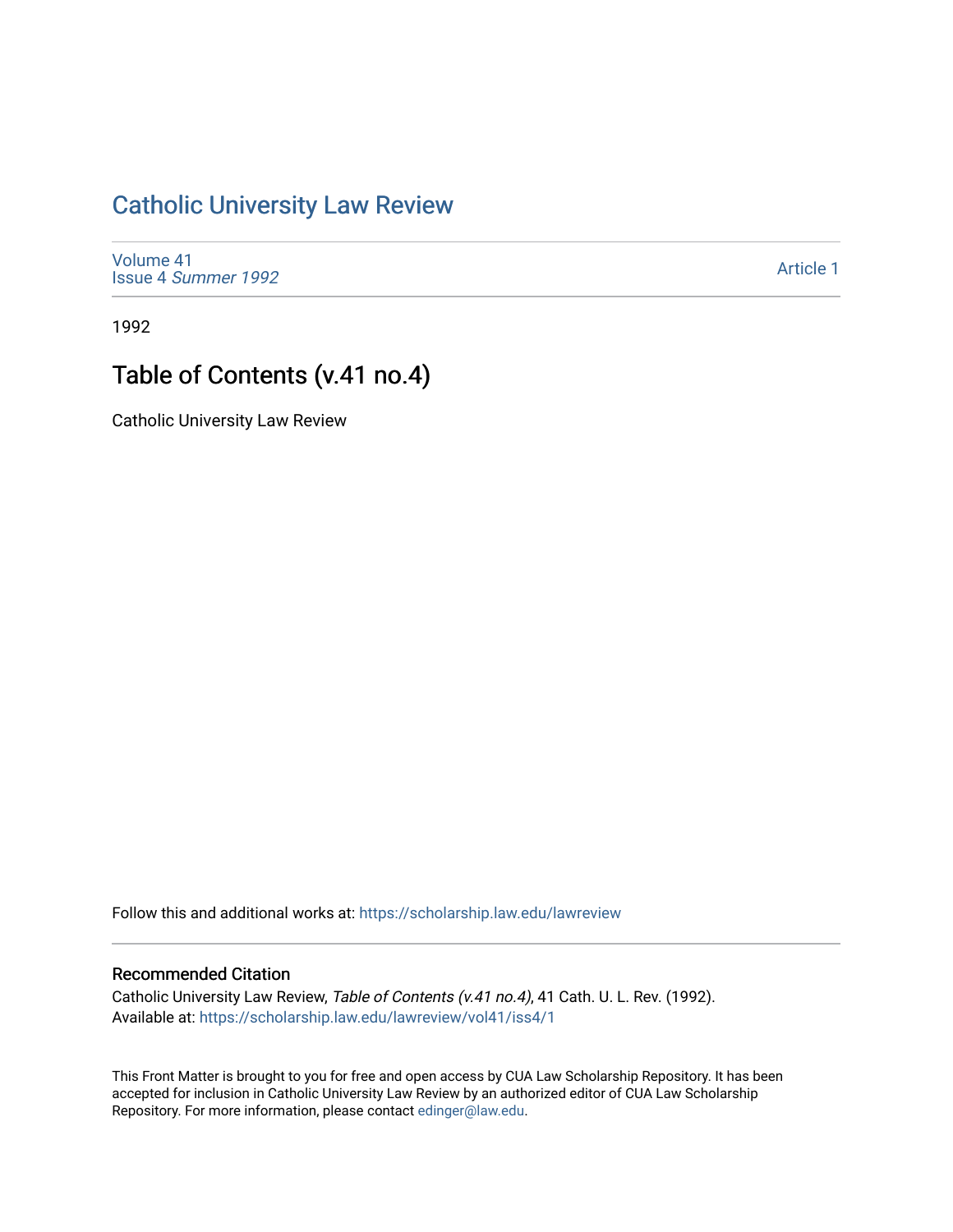## [Catholic University Law Review](https://scholarship.law.edu/lawreview)

[Volume 41](https://scholarship.law.edu/lawreview/vol41) Issue 4 [Summer 1992](https://scholarship.law.edu/lawreview/vol41/iss4) 

[Article 1](https://scholarship.law.edu/lawreview/vol41/iss4/1) 

1992

## Table of Contents (v.41 no.4)

Catholic University Law Review

Follow this and additional works at: [https://scholarship.law.edu/lawreview](https://scholarship.law.edu/lawreview?utm_source=scholarship.law.edu%2Flawreview%2Fvol41%2Fiss4%2F1&utm_medium=PDF&utm_campaign=PDFCoverPages)

## Recommended Citation

Catholic University Law Review, Table of Contents (v.41 no.4), 41 Cath. U. L. Rev. (1992). Available at: [https://scholarship.law.edu/lawreview/vol41/iss4/1](https://scholarship.law.edu/lawreview/vol41/iss4/1?utm_source=scholarship.law.edu%2Flawreview%2Fvol41%2Fiss4%2F1&utm_medium=PDF&utm_campaign=PDFCoverPages)

This Front Matter is brought to you for free and open access by CUA Law Scholarship Repository. It has been accepted for inclusion in Catholic University Law Review by an authorized editor of CUA Law Scholarship Repository. For more information, please contact [edinger@law.edu.](mailto:edinger@law.edu)